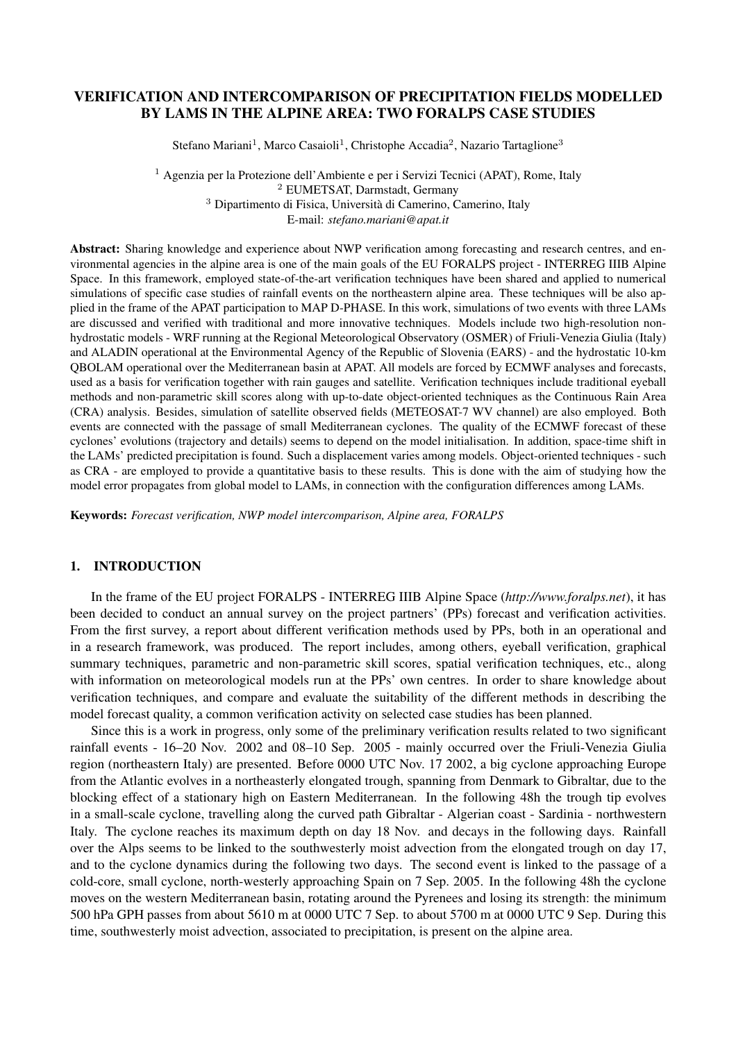# VERIFICATION AND INTERCOMPARISON OF PRECIPITATION FIELDS MODELLED BY LAMS IN THE ALPINE AREA: TWO FORALPS CASE STUDIES

Stefano Mariani<sup>1</sup>, Marco Casaioli<sup>1</sup>, Christophe Accadia<sup>2</sup>, Nazario Tartaglione<sup>3</sup>

 Agenzia per la Protezione dell'Ambiente e per i Servizi Tecnici (APAT), Rome, Italy EUMETSAT, Darmstadt, Germany Dipartimento di Fisica, Università di Camerino, Camerino, Italy E-mail: *stefano.mariani@apat.it*

Abstract: Sharing knowledge and experience about NWP verification among forecasting and research centres, and environmental agencies in the alpine area is one of the main goals of the EU FORALPS project - INTERREG IIIB Alpine Space. In this framework, employed state-of-the-art verification techniques have been shared and applied to numerical simulations of specific case studies of rainfall events on the northeastern alpine area. These techniques will be also applied in the frame of the APAT participation to MAP D-PHASE. In this work, simulations of two events with three LAMs are discussed and verified with traditional and more innovative techniques. Models include two high-resolution nonhydrostatic models - WRF running at the Regional Meteorological Observatory (OSMER) of Friuli-Venezia Giulia (Italy) and ALADIN operational at the Environmental Agency of the Republic of Slovenia (EARS) - and the hydrostatic 10-km QBOLAM operational over the Mediterranean basin at APAT. All models are forced by ECMWF analyses and forecasts, used as a basis for verification together with rain gauges and satellite. Verification techniques include traditional eyeball methods and non-parametric skill scores along with up-to-date object-oriented techniques as the Continuous Rain Area (CRA) analysis. Besides, simulation of satellite observed fields (METEOSAT-7 WV channel) are also employed. Both events are connected with the passage of small Mediterranean cyclones. The quality of the ECMWF forecast of these cyclones' evolutions (trajectory and details) seems to depend on the model initialisation. In addition, space-time shift in the LAMs' predicted precipitation is found. Such a displacement varies among models. Object-oriented techniques - such as CRA - are employed to provide a quantitative basis to these results. This is done with the aim of studying how the model error propagates from global model to LAMs, in connection with the configuration differences among LAMs.

Keywords: *Forecast verification, NWP model intercomparison, Alpine area, FORALPS*

## 1. INTRODUCTION

In the frame of the EU project FORALPS - INTERREG IIIB Alpine Space (*http://www.foralps.net*), it has been decided to conduct an annual survey on the project partners' (PPs) forecast and verification activities. From the first survey, a report about different verification methods used by PPs, both in an operational and in a research framework, was produced. The report includes, among others, eyeball verification, graphical summary techniques, parametric and non-parametric skill scores, spatial verification techniques, etc., along with information on meteorological models run at the PPs' own centres. In order to share knowledge about verification techniques, and compare and evaluate the suitability of the different methods in describing the model forecast quality, a common verification activity on selected case studies has been planned.

Since this is a work in progress, only some of the preliminary verification results related to two significant rainfall events - 16–20 Nov. 2002 and 08–10 Sep. 2005 - mainly occurred over the Friuli-Venezia Giulia region (northeastern Italy) are presented. Before 0000 UTC Nov. 17 2002, a big cyclone approaching Europe from the Atlantic evolves in a northeasterly elongated trough, spanning from Denmark to Gibraltar, due to the blocking effect of a stationary high on Eastern Mediterranean. In the following 48h the trough tip evolves in a small-scale cyclone, travelling along the curved path Gibraltar - Algerian coast - Sardinia - northwestern Italy. The cyclone reaches its maximum depth on day 18 Nov. and decays in the following days. Rainfall over the Alps seems to be linked to the southwesterly moist advection from the elongated trough on day 17, and to the cyclone dynamics during the following two days. The second event is linked to the passage of a cold-core, small cyclone, north-westerly approaching Spain on 7 Sep. 2005. In the following 48h the cyclone moves on the western Mediterranean basin, rotating around the Pyrenees and losing its strength: the minimum 500 hPa GPH passes from about 5610 m at 0000 UTC 7 Sep. to about 5700 m at 0000 UTC 9 Sep. During this time, southwesterly moist advection, associated to precipitation, is present on the alpine area.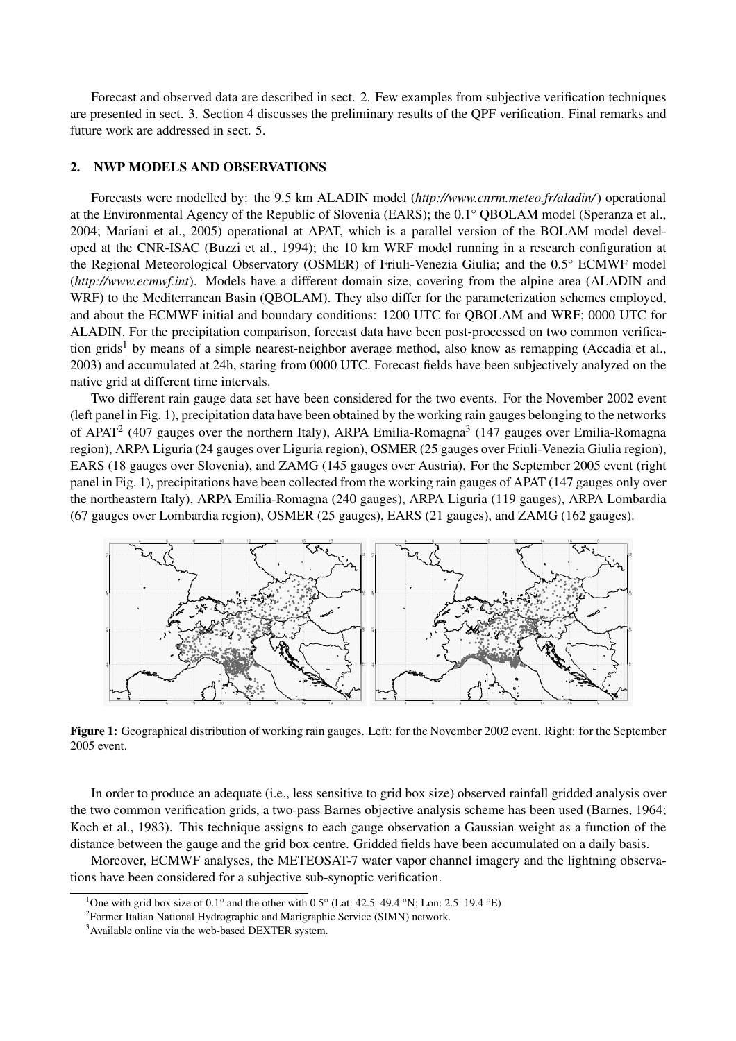Forecast and observed data are described in sect. 2. Few examples from subjective verification techniques are presented in sect. 3. Section 4 discusses the preliminary results of the QPF verification. Final remarks and future work are addressed in sect. 5.

### 2. NWP MODELS AND OBSERVATIONS

Forecasts were modelled by: the 9.5 km ALADIN model (*http://www.cnrm.meteo.fr/aladin/*) operational at the Environmental Agency of the Republic of Slovenia (EARS); the 0.1° QBOLAM model (Speranza et al., 2004; Mariani et al., 2005) operational at APAT, which is a parallel version of the BOLAM model developed at the CNR-ISAC (Buzzi et al., 1994); the 10 km WRF model running in a research configuration at the Regional Meteorological Observatory (OSMER) of Friuli-Venezia Giulia; and the 0.5° ECMWF model (*http://www.ecmwf.int*). Models have a different domain size, covering from the alpine area (ALADIN and WRF) to the Mediterranean Basin (QBOLAM). They also differ for the parameterization schemes employed, and about the ECMWF initial and boundary conditions: 1200 UTC for QBOLAM and WRF; 0000 UTC for ALADIN. For the precipitation comparison, forecast data have been post-processed on two common verification grids<sup>1</sup> by means of a simple nearest-neighbor average method, also know as remapping (Accadia et al., 2003) and accumulated at 24h, staring from 0000 UTC. Forecast fields have been subjectively analyzed on the native grid at different time intervals.

Two different rain gauge data set have been considered for the two events. For the November 2002 event (left panel in Fig. 1), precipitation data have been obtained by the working rain gauges belonging to the networks of APAT<sup>2</sup> (407 gauges over the northern Italy), ARPA Emilia-Romagna<sup>3</sup> (147 gauges over Emilia-Romagna region), ARPA Liguria (24 gauges over Liguria region), OSMER (25 gauges over Friuli-Venezia Giulia region), EARS (18 gauges over Slovenia), and ZAMG (145 gauges over Austria). For the September 2005 event (right panel in Fig. 1), precipitations have been collected from the working rain gauges of APAT (147 gauges only over the northeastern Italy), ARPA Emilia-Romagna (240 gauges), ARPA Liguria (119 gauges), ARPA Lombardia (67 gauges over Lombardia region), OSMER (25 gauges), EARS (21 gauges), and ZAMG (162 gauges).



Figure 1: Geographical distribution of working rain gauges. Left: for the November 2002 event. Right: for the September 2005 event.

In order to produce an adequate (i.e., less sensitive to grid box size) observed rainfall gridded analysis over the two common verification grids, a two-pass Barnes objective analysis scheme has been used (Barnes, 1964; Koch et al., 1983). This technique assigns to each gauge observation a Gaussian weight as a function of the distance between the gauge and the grid box centre. Gridded fields have been accumulated on a daily basis.

Moreover, ECMWF analyses, the METEOSAT-7 water vapor channel imagery and the lightning observations have been considered for a subjective sub-synoptic verification.

<sup>&</sup>lt;sup>1</sup>One with grid box size of 0.1° and the other with 0.5° (Lat: 42.5–49.4 °N; Lon: 2.5–19.4 °E)

 $2$ Former Italian National Hydrographic and Marigraphic Service (SIMN) network.

<sup>&</sup>lt;sup>3</sup>Available online via the web-based DEXTER system.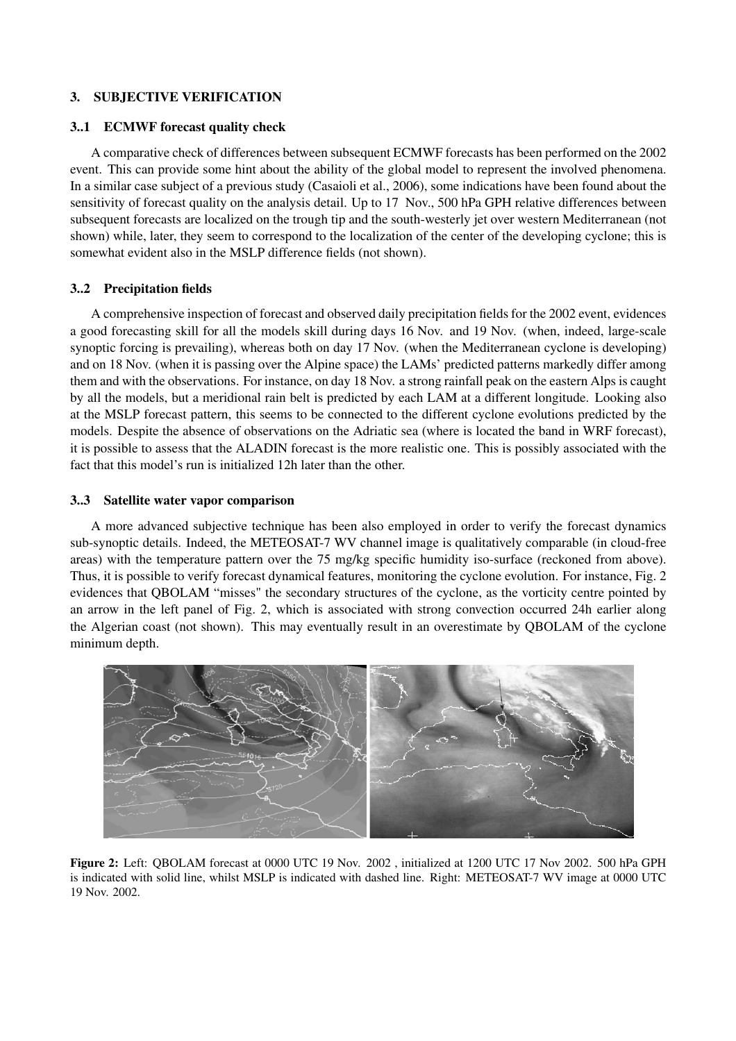## 3. SUBJECTIVE VERIFICATION

## 3..1 ECMWF forecast quality check

A comparative check of differences between subsequent ECMWF forecasts has been performed on the 2002 event. This can provide some hint about the ability of the global model to represent the involved phenomena. In a similar case subject of a previous study (Casaioli et al., 2006), some indications have been found about the sensitivity of forecast quality on the analysis detail. Up to 17 Nov., 500 hPa GPH relative differences between subsequent forecasts are localized on the trough tip and the south-westerly jet over western Mediterranean (not shown) while, later, they seem to correspond to the localization of the center of the developing cyclone; this is somewhat evident also in the MSLP difference fields (not shown).

# 3..2 Precipitation fields

A comprehensive inspection of forecast and observed daily precipitation fields for the 2002 event, evidences a good forecasting skill for all the models skill during days 16 Nov. and 19 Nov. (when, indeed, large-scale synoptic forcing is prevailing), whereas both on day 17 Nov. (when the Mediterranean cyclone is developing) and on 18 Nov. (when it is passing over the Alpine space) the LAMs' predicted patterns markedly differ among them and with the observations. For instance, on day 18 Nov. a strong rainfall peak on the eastern Alps is caught by all the models, but a meridional rain belt is predicted by each LAM at a different longitude. Looking also at the MSLP forecast pattern, this seems to be connected to the different cyclone evolutions predicted by the models. Despite the absence of observations on the Adriatic sea (where is located the band in WRF forecast), it is possible to assess that the ALADIN forecast is the more realistic one. This is possibly associated with the fact that this model's run is initialized 12h later than the other.

## 3..3 Satellite water vapor comparison

A more advanced subjective technique has been also employed in order to verify the forecast dynamics sub-synoptic details. Indeed, the METEOSAT-7 WV channel image is qualitatively comparable (in cloud-free areas) with the temperature pattern over the 75 mg/kg specific humidity iso-surface (reckoned from above). Thus, it is possible to verify forecast dynamical features, monitoring the cyclone evolution. For instance, Fig. 2 evidences that QBOLAM "misses" the secondary structures of the cyclone, as the vorticity centre pointed by an arrow in the left panel of Fig. 2, which is associated with strong convection occurred 24h earlier along the Algerian coast (not shown). This may eventually result in an overestimate by QBOLAM of the cyclone minimum depth.



Figure 2: Left: QBOLAM forecast at 0000 UTC 19 Nov. 2002 , initialized at 1200 UTC 17 Nov 2002. 500 hPa GPH is indicated with solid line, whilst MSLP is indicated with dashed line. Right: METEOSAT-7 WV image at 0000 UTC 19 Nov. 2002.